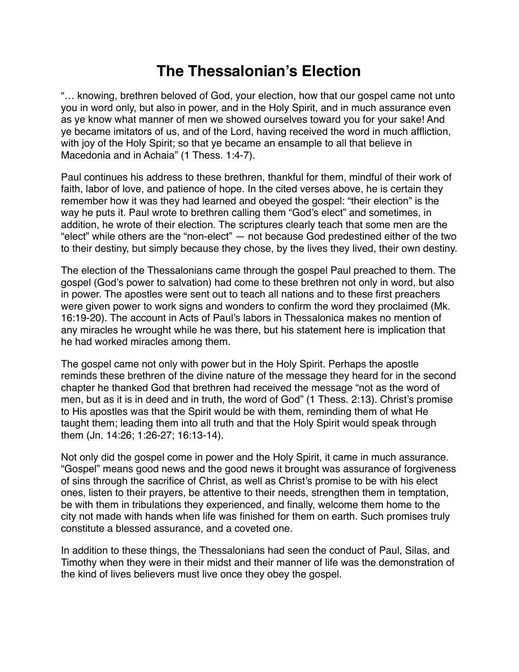## **The Thessalonian's Election**

"… knowing, brethren beloved of God, your election, how that our gospel came not unto you in word only, but also in power, and in the Holy Spirit, and in much assurance even as ye know what manner of men we showed ourselves toward you for your sake! And ye became imitators of us, and of the Lord, having received the word in much affliction, with joy of the Holy Spirit; so that ye became an ensample to all that believe in Macedonia and in Achaia" (1 Thess. 1:4-7).

Paul continues his address to these brethren, thankful for them, mindful of their work of faith, labor of love, and patience of hope. In the cited verses above, he is certain they remember how it was they had learned and obeyed the gospel: "their election" is the way he puts it. Paul wrote to brethren calling them "God's elect" and sometimes, in addition, he wrote of their election. The scriptures clearly teach that some men are the "elect" while others are the "non-elect" — not because God predestined either of the two to their destiny, but simply because they chose, by the lives they lived, their own destiny.

The election of the Thessalonians came through the gospel Paul preached to them. The gospel (God's power to salvation) had come to these brethren not only in word, but also in power. The apostles were sent out to teach all nations and to these first preachers were given power to work signs and wonders to confirm the word they proclaimed (Mk. 16:19-20). The account in Acts of Paul's labors in Thessalonica makes no mention of any miracles he wrought while he was there, but his statement here is implication that he had worked miracles among them.

The gospel came not only with power but in the Holy Spirit. Perhaps the apostle reminds these brethren of the divine nature of the message they heard for in the second chapter he thanked God that brethren had received the message "not as the word of men, but as it is in deed and in truth, the word of God" (1 Thess. 2:13). Christ's promise to His apostles was that the Spirit would be with them, reminding them of what He taught them; leading them into all truth and that the Holy Spirit would speak through them (Jn. 14:26; 1:26-27; 16:13-14).

Not only did the gospel come in power and the Holy Spirit, it came in much assurance. "Gospel" means good news and the good news it brought was assurance of forgiveness of sins through the sacrifice of Christ, as well as Christ's promise to be with his elect ones, listen to their prayers, be attentive to their needs, strengthen them in temptation, be with them in tribulations they experienced, and finally, welcome them home to the city not made with hands when life was finished for them on earth. Such promises truly constitute a blessed assurance, and a coveted one.

In addition to these things, the Thessalonians had seen the conduct of Paul, Silas, and Timothy when they were in their midst and their manner of life was the demonstration of the kind of lives believers must live once they obey the gospel.